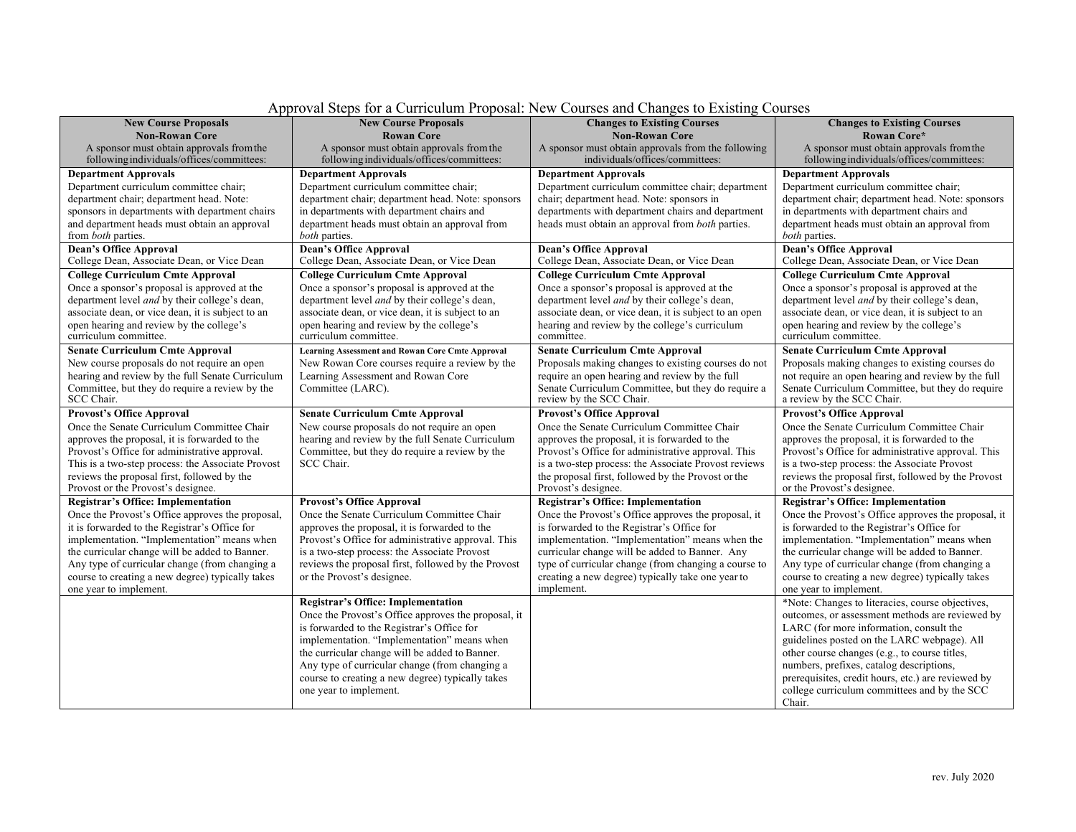| <b>New Course Proposals</b>                                                                      | <b>New Course Proposals</b>                                                 | <b>Changes to Existing Courses</b>                                                                         | <b>Changes to Existing Courses</b>                                                                  |
|--------------------------------------------------------------------------------------------------|-----------------------------------------------------------------------------|------------------------------------------------------------------------------------------------------------|-----------------------------------------------------------------------------------------------------|
| <b>Non-Rowan Core</b>                                                                            | <b>Rowan Core</b>                                                           | <b>Non-Rowan Core</b>                                                                                      | <b>Rowan Core*</b>                                                                                  |
| A sponsor must obtain approvals from the                                                         | A sponsor must obtain approvals from the                                    | A sponsor must obtain approvals from the following                                                         | A sponsor must obtain approvals from the                                                            |
| following individuals/offices/committees:                                                        | following individuals/offices/committees:                                   | individuals/offices/committees:                                                                            | following individuals/offices/committees:                                                           |
| <b>Department Approvals</b>                                                                      | <b>Department Approvals</b>                                                 | <b>Department Approvals</b>                                                                                | <b>Department Approvals</b>                                                                         |
| Department curriculum committee chair;                                                           | Department curriculum committee chair;                                      | Department curriculum committee chair; department                                                          | Department curriculum committee chair;                                                              |
| department chair; department head. Note:                                                         | department chair; department head. Note: sponsors                           | chair; department head. Note: sponsors in                                                                  | department chair; department head. Note: sponsors                                                   |
| sponsors in departments with department chairs                                                   | in departments with department chairs and                                   | departments with department chairs and department                                                          | in departments with department chairs and                                                           |
| and department heads must obtain an approval<br>from both parties.                               | department heads must obtain an approval from<br><i>both</i> parties.       | heads must obtain an approval from both parties.                                                           | department heads must obtain an approval from<br><i>both</i> parties.                               |
| <b>Dean's Office Approval</b><br>College Dean, Associate Dean, or Vice Dean                      | <b>Dean's Office Approval</b><br>College Dean, Associate Dean, or Vice Dean | <b>Dean's Office Approval</b><br>College Dean, Associate Dean, or Vice Dean                                | <b>Dean's Office Approval</b><br>College Dean, Associate Dean, or Vice Dean                         |
| <b>College Curriculum Cmte Approval</b>                                                          | <b>College Curriculum Cmte Approval</b>                                     | <b>College Curriculum Cmte Approval</b>                                                                    | <b>College Curriculum Cmte Approval</b>                                                             |
| Once a sponsor's proposal is approved at the                                                     | Once a sponsor's proposal is approved at the                                | Once a sponsor's proposal is approved at the                                                               | Once a sponsor's proposal is approved at the                                                        |
| department level and by their college's dean,                                                    | department level and by their college's dean,                               | department level <i>and</i> by their college's dean,                                                       | department level and by their college's dean,                                                       |
| associate dean, or vice dean, it is subject to an                                                | associate dean, or vice dean, it is subject to an                           | associate dean, or vice dean, it is subject to an open                                                     | associate dean, or vice dean, it is subject to an                                                   |
| open hearing and review by the college's<br>curriculum committee.                                | open hearing and review by the college's<br>curriculum committee.           | hearing and review by the college's curriculum<br>committee.                                               | open hearing and review by the college's<br>curriculum committee.                                   |
| <b>Senate Curriculum Cmte Approval</b>                                                           | <b>Learning Assessment and Rowan Core Cmte Approval</b>                     | <b>Senate Curriculum Cmte Approval</b>                                                                     | <b>Senate Curriculum Cmte Approval</b>                                                              |
| New course proposals do not require an open                                                      | New Rowan Core courses require a review by the                              | Proposals making changes to existing courses do not                                                        | Proposals making changes to existing courses do                                                     |
| hearing and review by the full Senate Curriculum                                                 | Learning Assessment and Rowan Core                                          | require an open hearing and review by the full                                                             | not require an open hearing and review by the full                                                  |
| Committee, but they do require a review by the                                                   | Committee (LARC).                                                           | Senate Curriculum Committee, but they do require a                                                         | Senate Curriculum Committee, but they do require                                                    |
| SCC Chair.                                                                                       |                                                                             | review by the SCC Chair.                                                                                   | a review by the SCC Chair.                                                                          |
| <b>Provost's Office Approval</b>                                                                 | <b>Senate Curriculum Cmte Approval</b>                                      | <b>Provost's Office Approval</b>                                                                           | <b>Provost's Office Approval</b>                                                                    |
| Once the Senate Curriculum Committee Chair                                                       | New course proposals do not require an open                                 | Once the Senate Curriculum Committee Chair                                                                 | Once the Senate Curriculum Committee Chair                                                          |
| approves the proposal, it is forwarded to the                                                    | hearing and review by the full Senate Curriculum                            | approves the proposal, it is forwarded to the                                                              | approves the proposal, it is forwarded to the                                                       |
| Provost's Office for administrative approval.                                                    | Committee, but they do require a review by the                              | Provost's Office for administrative approval. This                                                         | Provost's Office for administrative approval. This                                                  |
| This is a two-step process: the Associate Provost<br>reviews the proposal first, followed by the | SCC Chair.                                                                  | is a two-step process: the Associate Provost reviews<br>the proposal first, followed by the Provost or the | is a two-step process: the Associate Provost<br>reviews the proposal first, followed by the Provost |
| Provost or the Provost's designee.                                                               |                                                                             | Provost's designee.                                                                                        | or the Provost's designee.                                                                          |
| <b>Registrar's Office: Implementation</b>                                                        | <b>Provost's Office Approval</b>                                            | <b>Registrar's Office: Implementation</b>                                                                  | <b>Registrar's Office: Implementation</b>                                                           |
| Once the Provost's Office approves the proposal,                                                 | Once the Senate Curriculum Committee Chair                                  | Once the Provost's Office approves the proposal, it                                                        | Once the Provost's Office approves the proposal, it                                                 |
| it is forwarded to the Registrar's Office for                                                    | approves the proposal, it is forwarded to the                               | is forwarded to the Registrar's Office for                                                                 | is forwarded to the Registrar's Office for                                                          |
| implementation. "Implementation" means when                                                      | Provost's Office for administrative approval. This                          | implementation. "Implementation" means when the                                                            | implementation. "Implementation" means when                                                         |
| the curricular change will be added to Banner.                                                   | is a two-step process: the Associate Provost                                | curricular change will be added to Banner. Any                                                             | the curricular change will be added to Banner.                                                      |
| Any type of curricular change (from changing a                                                   | reviews the proposal first, followed by the Provost                         | type of curricular change (from changing a course to                                                       | Any type of curricular change (from changing a                                                      |
| course to creating a new degree) typically takes                                                 | or the Provost's designee.                                                  | creating a new degree) typically take one year to                                                          | course to creating a new degree) typically takes                                                    |
| one year to implement.                                                                           |                                                                             | implement.                                                                                                 | one year to implement.                                                                              |
|                                                                                                  | <b>Registrar's Office: Implementation</b>                                   |                                                                                                            | *Note: Changes to literacies, course objectives,                                                    |
|                                                                                                  | Once the Provost's Office approves the proposal, it                         |                                                                                                            | outcomes, or assessment methods are reviewed by                                                     |
|                                                                                                  | is forwarded to the Registrar's Office for                                  |                                                                                                            | LARC (for more information, consult the                                                             |
|                                                                                                  | implementation. "Implementation" means when                                 |                                                                                                            | guidelines posted on the LARC webpage). All                                                         |
|                                                                                                  | the curricular change will be added to Banner.                              |                                                                                                            | other course changes (e.g., to course titles,                                                       |
|                                                                                                  | Any type of curricular change (from changing a                              |                                                                                                            | numbers, prefixes, catalog descriptions,                                                            |
|                                                                                                  | course to creating a new degree) typically takes                            |                                                                                                            | prerequisites, credit hours, etc.) are reviewed by                                                  |
|                                                                                                  | one year to implement.                                                      |                                                                                                            | college curriculum committees and by the SCC                                                        |
|                                                                                                  |                                                                             |                                                                                                            | Chair.                                                                                              |

# Approval Steps for a Curriculum Proposal: New Courses and Changes to Existing Courses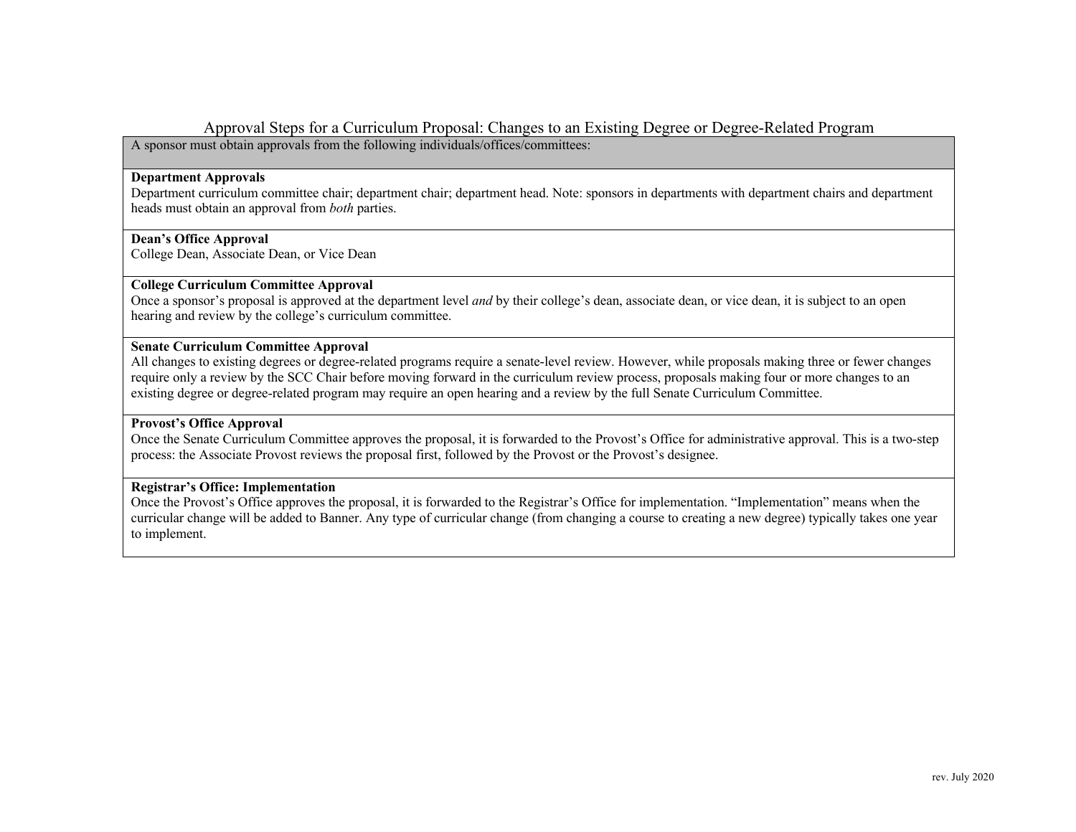# Approval Steps for a Curriculum Proposal: Changes to an Existing Degree or Degree-Related Program

A sponsor must obtain approvals from the following individuals/offices/committees:

### **Department Approvals**

Department curriculum committee chair; department chair; department head. Note: sponsors in departments with department chairs and department heads must obtain an approval from *both* parties.

### **Dean's Office Approval**

College Dean, Associate Dean, or Vice Dean

# **College Curriculum Committee Approval**

Once a sponsor's proposal is approved at the department level *and* by their college's dean, associate dean, or vice dean, it is subject to an open hearing and review by the college's curriculum committee.

### **Senate Curriculum Committee Approval**

All changes to existing degrees or degree-related programs require a senate-level review. However, while proposals making three or fewer changes require only a review by the SCC Chair before moving forward in the curriculum review process, proposals making four or more changes to an existing degree or degree-related program may require an open hearing and a review by the full Senate Curriculum Committee.

#### **Provost's Office Approval**

Once the Senate Curriculum Committee approves the proposal, it is forwarded to the Provost's Office for administrative approval. This is a two-step process: the Associate Provost reviews the proposal first, followed by the Provost or the Provost's designee.

## **Registrar's Office: Implementation**

Once the Provost's Office approves the proposal, it is forwarded to the Registrar's Office for implementation. "Implementation" means when the curricular change will be added to Banner. Any type of curricular change (from changing a course to creating a new degree) typically takes one year to implement.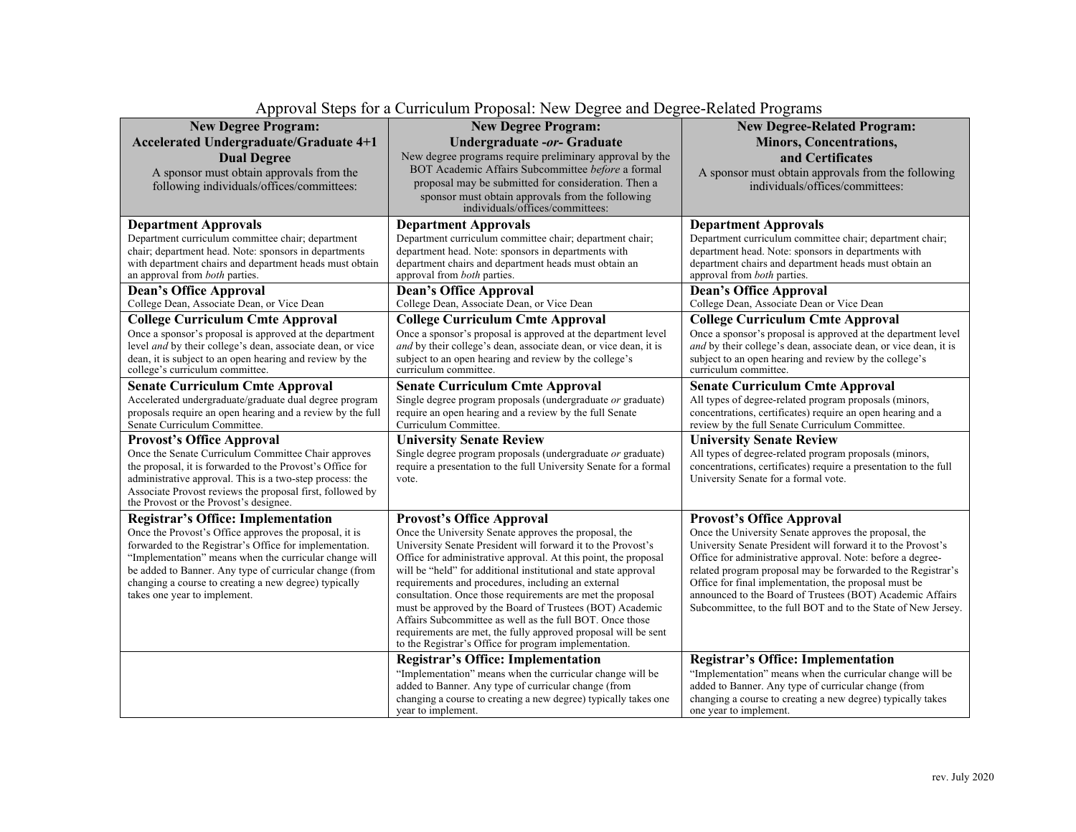| <b>New Degree Program:</b>                                                                                        | <b>New Degree Program:</b>                                                                                                        | <b>New Degree-Related Program:</b>                                                                                         |
|-------------------------------------------------------------------------------------------------------------------|-----------------------------------------------------------------------------------------------------------------------------------|----------------------------------------------------------------------------------------------------------------------------|
| <b>Accelerated Undergraduate/Graduate 4+1</b>                                                                     | Undergraduate -or- Graduate                                                                                                       | <b>Minors, Concentrations,</b>                                                                                             |
| <b>Dual Degree</b>                                                                                                | New degree programs require preliminary approval by the                                                                           | and Certificates                                                                                                           |
| A sponsor must obtain approvals from the                                                                          | BOT Academic Affairs Subcommittee before a formal                                                                                 | A sponsor must obtain approvals from the following                                                                         |
| following individuals/offices/committees:                                                                         | proposal may be submitted for consideration. Then a                                                                               | individuals/offices/committees:                                                                                            |
|                                                                                                                   | sponsor must obtain approvals from the following                                                                                  |                                                                                                                            |
|                                                                                                                   | individuals/offices/committees:                                                                                                   |                                                                                                                            |
| <b>Department Approvals</b>                                                                                       | <b>Department Approvals</b>                                                                                                       | <b>Department Approvals</b>                                                                                                |
| Department curriculum committee chair; department                                                                 | Department curriculum committee chair; department chair;                                                                          | Department curriculum committee chair; department chair;                                                                   |
| chair; department head. Note: sponsors in departments                                                             | department head. Note: sponsors in departments with                                                                               | department head. Note: sponsors in departments with                                                                        |
| with department chairs and department heads must obtain<br>an approval from both parties.                         | department chairs and department heads must obtain an<br>approval from both parties.                                              | department chairs and department heads must obtain an<br>approval from <i>both</i> parties.                                |
| <b>Dean's Office Approval</b>                                                                                     | <b>Dean's Office Approval</b>                                                                                                     | <b>Dean's Office Approval</b>                                                                                              |
| College Dean, Associate Dean, or Vice Dean                                                                        | College Dean, Associate Dean, or Vice Dean                                                                                        | College Dean, Associate Dean or Vice Dean                                                                                  |
| <b>College Curriculum Cmte Approval</b>                                                                           | <b>College Curriculum Cmte Approval</b>                                                                                           | <b>College Curriculum Cmte Approval</b>                                                                                    |
| Once a sponsor's proposal is approved at the department                                                           | Once a sponsor's proposal is approved at the department level                                                                     | Once a sponsor's proposal is approved at the department level                                                              |
| level <i>and</i> by their college's dean, associate dean, or vice                                                 | and by their college's dean, associate dean, or vice dean, it is                                                                  | and by their college's dean, associate dean, or vice dean, it is                                                           |
| dean, it is subject to an open hearing and review by the                                                          | subject to an open hearing and review by the college's                                                                            | subject to an open hearing and review by the college's                                                                     |
| college's curriculum committee.                                                                                   | curriculum committee.                                                                                                             | curriculum committee.                                                                                                      |
| <b>Senate Curriculum Cmte Approval</b>                                                                            | <b>Senate Curriculum Cmte Approval</b>                                                                                            | <b>Senate Curriculum Cmte Approval</b>                                                                                     |
| Accelerated undergraduate/graduate dual degree program                                                            | Single degree program proposals (undergraduate or graduate)                                                                       | All types of degree-related program proposals (minors,                                                                     |
| proposals require an open hearing and a review by the full<br>Senate Curriculum Committee.                        | require an open hearing and a review by the full Senate<br>Curriculum Committee.                                                  | concentrations, certificates) require an open hearing and a<br>review by the full Senate Curriculum Committee.             |
| <b>Provost's Office Approval</b>                                                                                  | <b>University Senate Review</b>                                                                                                   | <b>University Senate Review</b>                                                                                            |
| Once the Senate Curriculum Committee Chair approves                                                               | Single degree program proposals (undergraduate or graduate)                                                                       | All types of degree-related program proposals (minors,                                                                     |
| the proposal, it is forwarded to the Provost's Office for                                                         | require a presentation to the full University Senate for a formal                                                                 | concentrations, certificates) require a presentation to the full                                                           |
| administrative approval. This is a two-step process: the                                                          | vote.                                                                                                                             | University Senate for a formal vote.                                                                                       |
| Associate Provost reviews the proposal first, followed by                                                         |                                                                                                                                   |                                                                                                                            |
| the Provost or the Provost's designee.                                                                            |                                                                                                                                   |                                                                                                                            |
| <b>Registrar's Office: Implementation</b>                                                                         | <b>Provost's Office Approval</b>                                                                                                  | <b>Provost's Office Approval</b>                                                                                           |
| Once the Provost's Office approves the proposal, it is                                                            | Once the University Senate approves the proposal, the                                                                             | Once the University Senate approves the proposal, the                                                                      |
| forwarded to the Registrar's Office for implementation.                                                           | University Senate President will forward it to the Provost's                                                                      | University Senate President will forward it to the Provost's                                                               |
| "Implementation" means when the curricular change will<br>be added to Banner. Any type of curricular change (from | Office for administrative approval. At this point, the proposal<br>will be "held" for additional institutional and state approval | Office for administrative approval. Note: before a degree-<br>related program proposal may be forwarded to the Registrar's |
| changing a course to creating a new degree) typically                                                             | requirements and procedures, including an external                                                                                | Office for final implementation, the proposal must be                                                                      |
| takes one year to implement.                                                                                      | consultation. Once those requirements are met the proposal                                                                        | announced to the Board of Trustees (BOT) Academic Affairs                                                                  |
|                                                                                                                   | must be approved by the Board of Trustees (BOT) Academic                                                                          | Subcommittee, to the full BOT and to the State of New Jersey.                                                              |
|                                                                                                                   | Affairs Subcommittee as well as the full BOT. Once those                                                                          |                                                                                                                            |
|                                                                                                                   | requirements are met, the fully approved proposal will be sent<br>to the Registrar's Office for program implementation.           |                                                                                                                            |
|                                                                                                                   | <b>Registrar's Office: Implementation</b>                                                                                         | <b>Registrar's Office: Implementation</b>                                                                                  |
|                                                                                                                   | "Implementation" means when the curricular change will be                                                                         | "Implementation" means when the curricular change will be                                                                  |
|                                                                                                                   | added to Banner. Any type of curricular change (from                                                                              | added to Banner. Any type of curricular change (from                                                                       |
|                                                                                                                   | changing a course to creating a new degree) typically takes one                                                                   | changing a course to creating a new degree) typically takes                                                                |
|                                                                                                                   | year to implement.                                                                                                                | one year to implement.                                                                                                     |

# Approval Steps for a Curriculum Proposal: New Degree and Degree-Related Programs